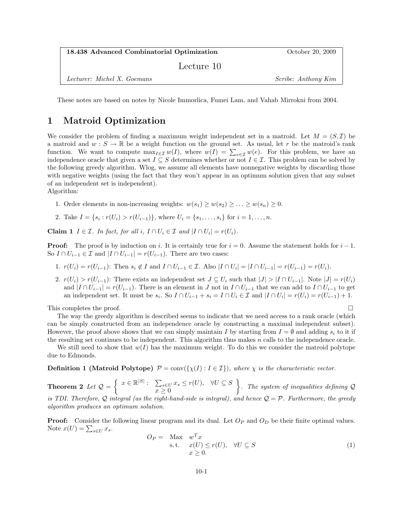| 18.438 Advanced Combinatorial Optimization | October 20, 2009           |
|--------------------------------------------|----------------------------|
| Lecture 10                                 |                            |
| Lecturer: Michel X. Goemans                | <i>Scribe: Anthony Kim</i> |

These notes are based on notes by Nicole Immorlica, Fumei Lam, and Vahab Mirrokni from 2004.

## 1 Matroid Optimization

We consider the problem of finding a maximum weight independent set in a matroid. Let  $M = (S, \mathcal{I})$  be a matroid and  $w : S \to \mathbb{R}$  be a weight function on the ground set. As usual, let r be the matroid's rank function. We want to compute  $\max_{I \in \mathcal{I}} w(I)$ , where  $w(I) = \sum_{e \in \mathcal{I}} w(e)$ . For this problem, we have an independence oracle that given a set  $I \subseteq S$  determines whether or not  $I \in \mathcal{I}$ . This problem can be solved by the following greedy algorithm. Wlog, we assume all elements have nonnegative weights by discarding those with negative weights (using the fact that they won't appear in an optimum solution given that any subset of an independent set is independent).

Algorithm:

- 1. Order elements in non-increasing weights:  $w(s_1) \geq w(s_2) \geq \ldots \geq w(s_n) \geq 0$ .
- 2. Take  $I = \{s_i : r(U_i) > r(U_{i-1})\}$ , where  $U_i = \{s_1, \ldots, s_i\}$  for  $i = 1, \ldots, n$ .

**Claim 1**  $I \in \mathcal{I}$ . In fact, for all i,  $I \cap U_i \in \mathcal{I}$  and  $|I \cap U_i| = r(U_i)$ .

**Proof:** The proof is by induction on i. It is certainly true for  $i = 0$ . Assume the statement holds for  $i - 1$ . So  $I \cap U_{i-1} \in \mathcal{I}$  and  $|I \cap U_{i-1}| = r(U_{i-1})$ . There are two cases:

- 1.  $r(U_i) = r(U_{i-1})$ : Then  $s_i \notin I$  and  $I \cap U_{i-1} \in \mathcal{I}$ . Also  $|I \cap U_i| = |I \cap U_{i-1}| = r(U_{i-1}) = r(U_i)$ .
- 2.  $r(U_i) > r(U_{i-1})$ : There exists an independent set  $J \subseteq U_i$  such that  $|J| > |I \cap U_{i-1}|$ . Note  $|J| = r(U_i)$ and  $|I \cap U_{i-1}| = r(U_{i-1})$ . There is an element in J not in  $I \cap U_{i-1}$  that we can add to  $I \cap U_{i-1}$  to get an independent set. It must be  $s_i$ . So  $I \cap U_{i-1} + s_i = I \cap U_i \in \mathcal{I}$  and  $|I \cap U_i| = r(U_i) = r(U_{i-1}) + 1$ .

This completes the proof.  $\square$ 

The way the greedy algorithm is described seems to indicate that we need access to a rank oracle (which can be simply constructed from an independence oracle by constructing a maximal independent subset). However, the proof above shows that we can simply maintain I by starting from  $I = \emptyset$  and adding  $s_i$  to it if the resulting set continues to be independent. This algorithm thus makes  $n$  calls to the independence oracle.

We still need to show that  $w(I)$  has the maximum weight. To do this we consider the matroid polytope due to Edmonds.

**Definition 1 (Matroid Polytope)**  $\mathcal{P} = \text{conv}(\{\chi(I) : I \in \mathcal{I}\})$ , where  $\chi$  is the characteristic vector.

**Theorem 2** Let  $Q = \begin{cases} x \in \mathbb{R}^{|S|} : & \sum_{s \in U} x_s \leq r(U), & \forall U \subseteq S \end{cases}$  $x \geq 0$  $\big\}$ . The system of inequalities defining Q is TDI. Therefore, Q integral (as the right-hand-side is integral), and hence  $Q = P$ . Furthermore, the greedy algorithm produces an optimum solution.

**Proof:** Consider the following linear program and its dual. Let  $O_P$  and  $O_D$  be their finite optimal values. Note  $x(U) = \sum_{s \in U} x_s$ .

$$
O_P = \text{Max} \t w^T x
$$
  
s.t.  $x(U) \le r(U)$ ,  $\forall U \subseteq S$   
 $x \ge 0$ . (1)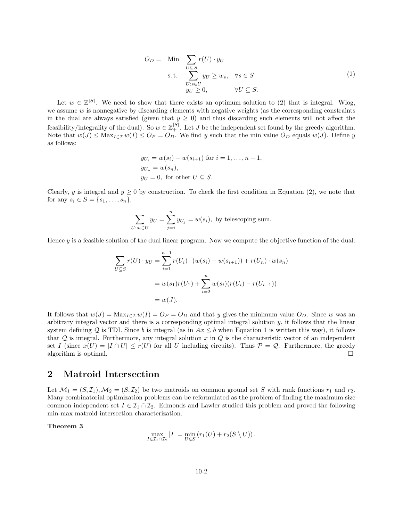$$
O_D = \text{Min} \sum_{\substack{U \subseteq S \\ S.t.}} r(U) \cdot y_U
$$
  
s.t. 
$$
\sum_{\substack{U : s \in U \\ y_U \ge 0}} y_U \ge w_s, \quad \forall s \in S
$$

$$
(2)
$$

Let  $w \in \mathbb{Z}^{|S|}$ . We need to show that there exists an optimum solution to (2) that is integral. Wlog, we assume  $w$  is nonnegative by discarding elements with negative weights (as the corresponding constraints in the dual are always satisfied (given that  $y \geq 0$ ) and thus discarding such elements will not affect the feasibility/integrality of the dual). So  $w \in \mathbb{Z}_+^{|S|}$ . Let J be the independent set found by the greedy algorithm. Note that  $w(J) \leq \text{Max}_{I \in \mathcal{I}} w(I) \leq O_P = O_D$ . We find y such that the min value  $O_D$  equals  $w(J)$ . Define y as follows:

$$
y_{U_i} = w(s_i) - w(s_{i+1})
$$
 for  $i = 1, ..., n-1$ ,  
\n
$$
y_{U_n} = w(s_n),
$$
  
\n
$$
y_U = 0
$$
, for other  $U \subseteq S$ .

Clearly, y is integral and  $y \ge 0$  by construction. To check the first condition in Equation (2), we note that for any  $s_i \in S = \{s_1, \ldots, s_n\},\$ 

$$
\sum_{U:s_i\in U} y_U = \sum_{j=i}^n y_{U_j} = w(s_i),
$$
 by telescoping sum.

Hence  $y$  is a feasible solution of the dual linear program. Now we compute the objective function of the dual:

$$
\sum_{U \subseteq S} r(U) \cdot y_U = \sum_{i=1}^{n-1} r(U_i) \cdot (w(s_i) - w(s_{i+1})) + r(U_n) \cdot w(s_n)
$$
  
=  $w(s_1)r(U_1) + \sum_{i=2}^{n} w(s_i)(r(U_i) - r(U_{i-1}))$   
=  $w(J)$ .

It follows that  $w(J) = \text{Max}_{I \in \mathcal{I}} w(I) = O_P = O_D$  and that y gives the minimum value  $O_D$ . Since w was an arbitrary integral vector and there is a corresponding optimal integral solution y, it follows that the linear system defining Q is TDI. Since b is integral (as in  $Ax < b$  when Equation 1 is written this way), it follows that  $Q$  is integral. Furthermore, any integral solution x in  $Q$  is the characteristic vector of an independent set I (since  $x(U) = |I \cap U| \le r(U)$  for all U including circuits). Thus  $P = Q$ . Furthermore, the greedy algorithm is optimal.  $\square$ 

## 2 Matroid Intersection

Let  $\mathcal{M}_1 = (S, \mathcal{I}_1), \mathcal{M}_2 = (S, \mathcal{I}_2)$  be two matroids on common ground set S with rank functions  $r_1$  and  $r_2$ . Many combinatorial optimization problems can be reformulated as the problem of finding the maximum size common independent set  $I \in \mathcal{I}_1 \cap \mathcal{I}_2$ . Edmonds and Lawler studied this problem and proved the following min-max matroid intersection characterization.

## Theorem 3

$$
\max_{I \in \mathcal{I}_1 \cap \mathcal{I}_2} |I| = \min_{U \in S} \left( r_1(U) + r_2(S \setminus U) \right).
$$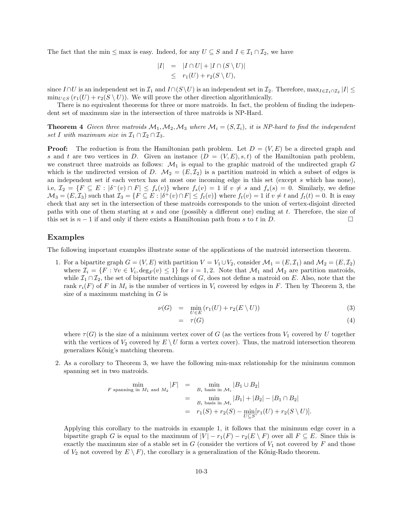The fact that the min  $\leq$  max is easy. Indeed, for any  $U \subseteq S$  and  $I \in \mathcal{I}_1 \cap \mathcal{I}_2$ , we have

$$
|I| = |I \cap U| + |I \cap (S \setminus U)|
$$
  

$$
\leq r_1(U) + r_2(S \setminus U),
$$

since  $I \cap U$  is an independent set in  $\mathcal{I}_1$  and  $I \cap (S \setminus U)$  is an independent set in  $\mathcal{I}_2$ . Therefore,  $\max_{I \in \mathcal{I}_1 \cap \mathcal{I}_2} |I| \le$  $\min_{U \in S} (r_1(U) + r_2(S \setminus U))$ . We will prove the other direction algorithmically.

There is no equivalent theorems for three or more matroids. In fact, the problem of finding the independent set of maximum size in the intersection of three matroids is NP-Hard.

**Theorem 4** Given three matroids  $\mathcal{M}_1, \mathcal{M}_2, \mathcal{M}_3$  where  $\mathcal{M}_i = (S, \mathcal{I}_i)$ , it is NP-hard to find the independent set I with maximum size in  $\mathcal{I}_1 \cap \mathcal{I}_2 \cap \mathcal{I}_3$ .

**Proof:** The reduction is from the Hamiltonian path problem. Let  $D = (V, E)$  be a directed graph and s and t are two vertices in D. Given an instance  $(D = (V, E), s, t)$  of the Hamiltonian path problem, we construct three matroids as follows:  $\mathcal{M}_1$  is equal to the graphic matroid of the undirected graph G which is the undirected version of D.  $\mathcal{M}_2 = (E, \mathcal{I}_2)$  is a partition matroid in which a subset of edges is an independent set if each vertex has at most one incoming edge in this set (except s which has none), i.e,  $\mathcal{I}_2 = \{F \subseteq E : |\delta^-(v) \cap F| \le f_s(v)\}\$  where  $f_s(v) = 1$  if  $v \neq s$  and  $f_s(s) = 0$ . Similarly, we define  $\mathcal{M}_3 = (E, \mathcal{I}_3)$  such that  $\mathcal{I}_3 = \{ F \subseteq E : |\delta^+(v) \cap F| \leq f_t(v) \}$  where  $f_t(v) = 1$  if  $v \neq t$  and  $f_t(t) = 0$ . It is easy check that any set in the intersection of these matroids corresponds to the union of vertex-disjoint directed paths with one of them starting at s and one (possibly a different one) ending at t. Therefore, the size of this set is  $n-1$  if and only if there exists a Hamiltonian path from s to t in D.

## Examples

The following important examples illustrate some of the applications of the matroid intersection theorem.

1. For a bipartite graph  $G = (V, E)$  with partition  $V = V_1 \cup V_2$ , consider  $\mathcal{M}_1 = (E, \mathcal{I}_1)$  and  $\mathcal{M}_2 = (E, \mathcal{I}_2)$ where  $\mathcal{I}_i = \{F : \forall v \in V_i, \deg_F(v) \leq 1\}$  for  $i = 1, 2$ . Note that  $\mathcal{M}_1$  and  $\mathcal{M}_2$  are partition matroids, while  $\mathcal{I}_1 \cap \mathcal{I}_2$ , the set of bipartite matchings of G, does not define a matroid on E. Also, note that the rank  $r_i(F)$  of F in  $M_i$  is the number of vertices in  $V_i$  covered by edges in F. Then by Theorem 3, the size of a maximum matching in  $G$  is

$$
\nu(G) = \min_{U \in E} (r_1(U) + r_2(E \setminus U)) \tag{3}
$$

$$
= \tau(G) \tag{4}
$$

where  $\tau(G)$  is the size of a minimum vertex cover of G (as the vertices from  $V_1$  covered by U together with the vertices of  $V_2$  covered by  $E \setminus U$  form a vertex cover). Thus, the matroid intersection theorem generalizes K˝onig's matching theorem.

2. As a corollary to Theorem 3, we have the following min-max relationship for the minimum common spanning set in two matroids.

$$
F \text{ spanning in } M_1 \text{ and } M_2 |F| = \min_{B_i \text{ basis in } \mathcal{M}_i} |B_1 \cup B_2|
$$
  
= 
$$
\min_{B_i \text{ basis in } \mathcal{M}_i} |B_1| + |B_2| - |B_1 \cap B_2|
$$
  
= 
$$
r_1(S) + r_2(S) - \min_{U \subseteq S} [r_1(U) + r_2(S \setminus U)].
$$

Applying this corollary to the matroids in example 1, it follows that the minimum edge cover in a bipartite graph G is equal to the maximum of  $|V| - r_1(F) - r_2(E \setminus F)$  over all  $F \subseteq E$ . Since this is exactly the maximum size of a stable set in  $G$  (consider the vertices of  $V_1$  not covered by  $F$  and those of  $V_2$  not covered by  $E \setminus F$ , the corollary is a generalization of the Kőnig-Rado theorem.